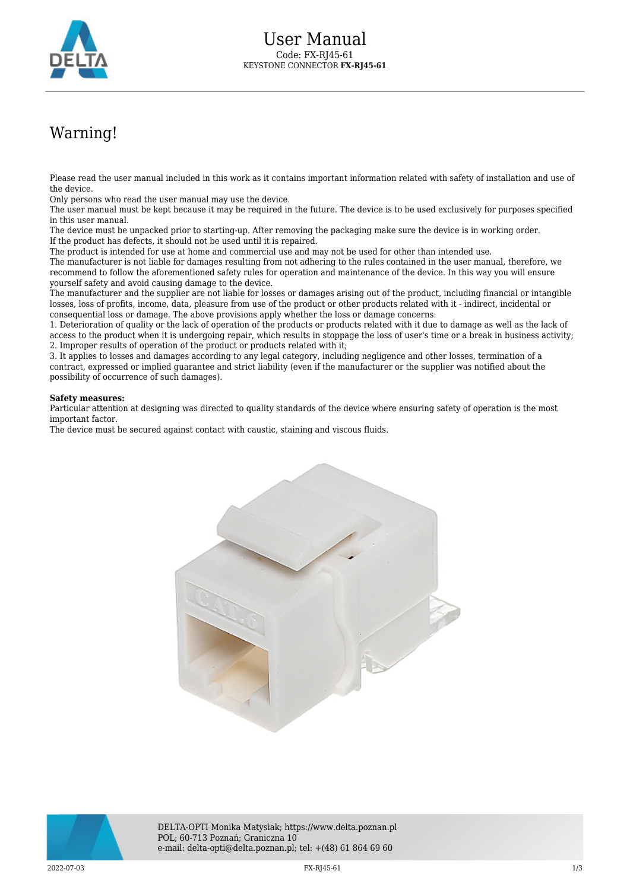

## Warning!

Please read the user manual included in this work as it contains important information related with safety of installation and use of the device.

Only persons who read the user manual may use the device.

The user manual must be kept because it may be required in the future. The device is to be used exclusively for purposes specified in this user manual.

The device must be unpacked prior to starting-up. After removing the packaging make sure the device is in working order. If the product has defects, it should not be used until it is repaired.

The product is intended for use at home and commercial use and may not be used for other than intended use.

The manufacturer is not liable for damages resulting from not adhering to the rules contained in the user manual, therefore, we recommend to follow the aforementioned safety rules for operation and maintenance of the device. In this way you will ensure yourself safety and avoid causing damage to the device.

The manufacturer and the supplier are not liable for losses or damages arising out of the product, including financial or intangible losses, loss of profits, income, data, pleasure from use of the product or other products related with it - indirect, incidental or consequential loss or damage. The above provisions apply whether the loss or damage concerns:

1. Deterioration of quality or the lack of operation of the products or products related with it due to damage as well as the lack of access to the product when it is undergoing repair, which results in stoppage the loss of user's time or a break in business activity; 2. Improper results of operation of the product or products related with it;

3. It applies to losses and damages according to any legal category, including negligence and other losses, termination of a contract, expressed or implied guarantee and strict liability (even if the manufacturer or the supplier was notified about the possibility of occurrence of such damages).

## **Safety measures:**

Particular attention at designing was directed to quality standards of the device where ensuring safety of operation is the most important factor.

The device must be secured against contact with caustic, staining and viscous fluids.





DELTA-OPTI Monika Matysiak; https://www.delta.poznan.pl POL; 60-713 Poznań; Graniczna 10 e-mail: delta-opti@delta.poznan.pl; tel: +(48) 61 864 69 60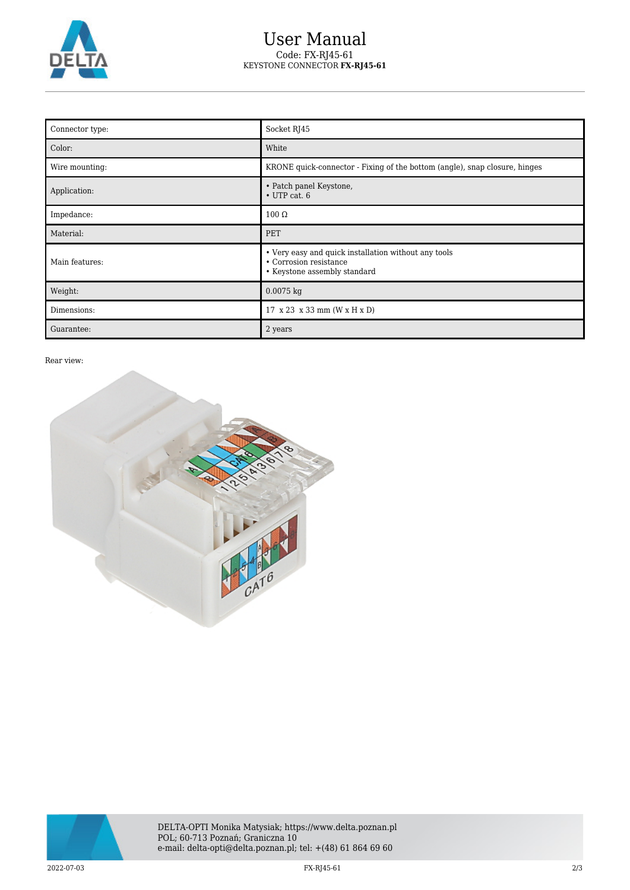

## User Manual Code: FX-RJ45-61 KEYSTONE CONNECTOR **FX-RJ45-61**

| Connector type: | Socket RJ45                                                                                                    |
|-----------------|----------------------------------------------------------------------------------------------------------------|
| Color:          | White                                                                                                          |
| Wire mounting:  | KRONE quick-connector - Fixing of the bottom (angle), snap closure, hinges                                     |
| Application:    | • Patch panel Keystone,<br>$\cdot$ UTP cat. 6                                                                  |
| Impedance:      | $100 \Omega$                                                                                                   |
| Material:       | PET                                                                                                            |
| Main features:  | • Very easy and quick installation without any tools<br>• Corrosion resistance<br>• Keystone assembly standard |
| Weight:         | $0.0075$ kg                                                                                                    |
| Dimensions:     | 17 x 23 x 33 mm (W x H x D)                                                                                    |
| Guarantee:      | 2 years                                                                                                        |

Rear view: